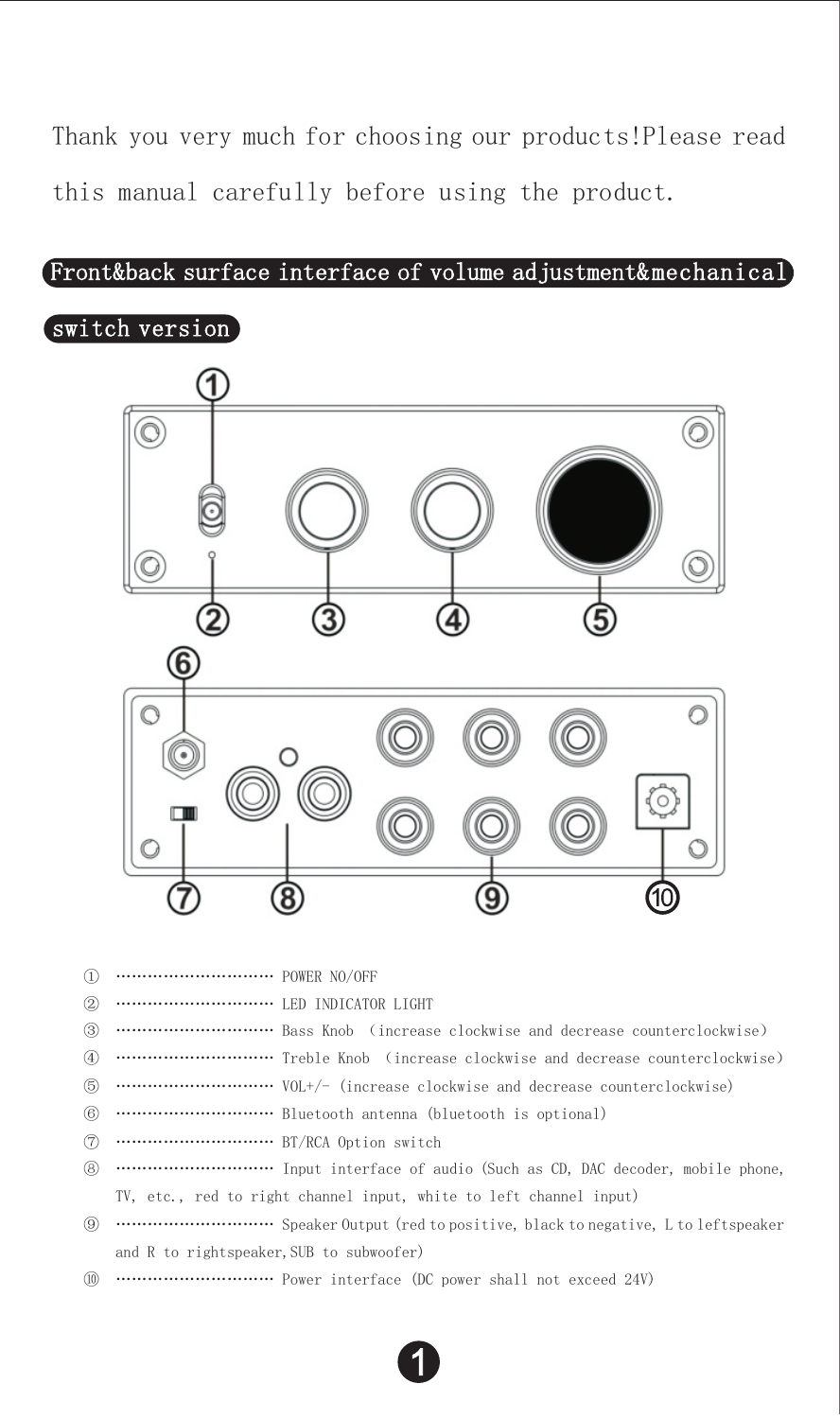Thank you very much for choosing our products!Please read this manual carefully before using the product.

### $\small \texttt{Frontkback surface interface of volume adjustment}\\ \small \texttt{Method} \small \texttt{Output}$

# switch version



- ………………………… POWER NO/OFF
- ………………………… LED INDICATOR LIGHT
- ………………………… Bass Knob (increase clockwise and decrease counterclockwise)
- ………………………… Treble Knob (increase clockwise and decrease counterclockwise)
- ………………………… VOL+/- (increase clockwise and decrease counterclockwise)
- ………………………… Bluetooth antenna (bluetooth is optional)
- ………………………… BT/RCA Option switch
- ………………………… Input interface of audio (Such as CD, DAC decoder, mobile phone, TV, etc., red to right channel input, white to left channel input)
- ………………………… Speaker Output (red to positive, black to negative, L to leftspeaker and R to rightspeaker, SUB to subwoofer)
- ………………………… Power interface (DC power shall not exceed 24V)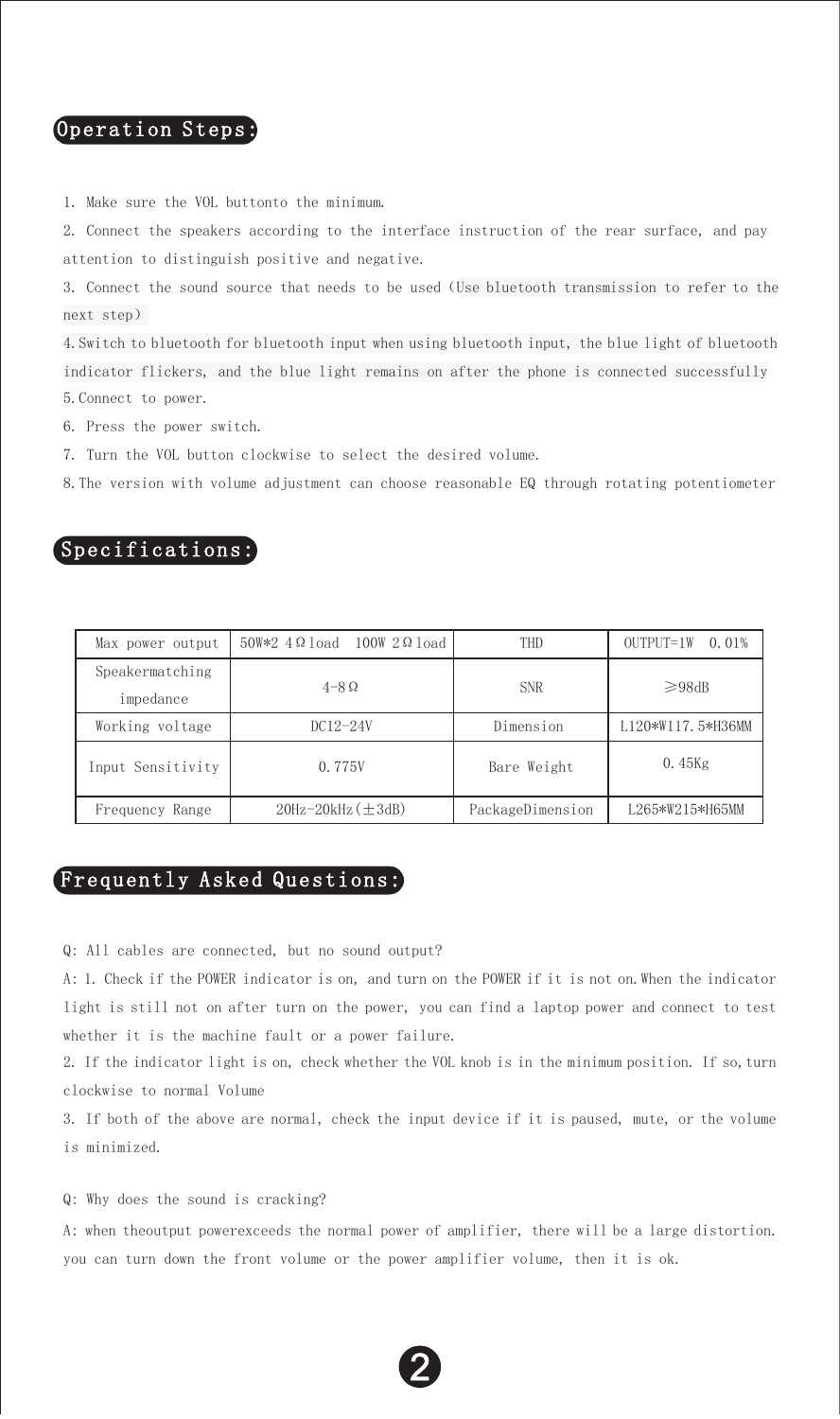# Operation Steps:

1. Make sure the VOL buttonto the minimum.

2. Connect the speakers according to the interface instruction of the rear surface, and pay attention to distinguish positive and negative.

3. Connect the sound source that needs to be used(Use bluetooth transmission to refer to the next step)

4.Switch to bluetooth for bluetooth input when using bluetooth input, the blue light of bluetooth indicator flickers, and the blue light remains on after the phone is connected successfully 5.Connect to power.

- 6. Press the power switch.
- 7. Turn the VOL button clockwise to select the desired volume.

8.The version with volume adjustment can choose reasonable EQ through rotating potentiometer

# Specifications:

| Max power output             | 50W*2 4 Ω load 100W 2 Ω load | <b>THD</b>       | OUTPUT=1W 0.01%   |
|------------------------------|------------------------------|------------------|-------------------|
| Speakermatching<br>impedance | $4 - 8$ $\Omega$             | <b>SNR</b>       | $\geq$ 98dB       |
|                              |                              |                  |                   |
| Working voltage              | $DC12-24V$                   | Dimension        | L120*W117.5*H36MM |
| Input Sensitivity            | 0.775V                       | Bare Weight      | $0.45$ Kg         |
| Frequency Range              | $20Hz - 20kHz (±3dB)$        | PackageDimension | L265*W215*H65MM   |

## Frequently Asked Questions:

Q: All cables are connected, but no sound output?

A: 1. Check if the POWER indicator is on, and turn on the POWER if it is not on.When the indicator light is still not on after turn on the power, you can find a laptop power and connect to test whether it is the machine fault or a power failure.

2. If the indicator light is on, check whether the VOL knob is in the minimum position. If so,turn clockwise to normal Volume

3. If both of the above are normal, check the input device if it is paused, mute, or the volume is minimized.

Q: Why does the sound is cracking?

A: when theoutput powerexceeds the normal power of amplifier, there will be a large distortion. you can turn down the front volume or the power amplifier volume, then it is ok.